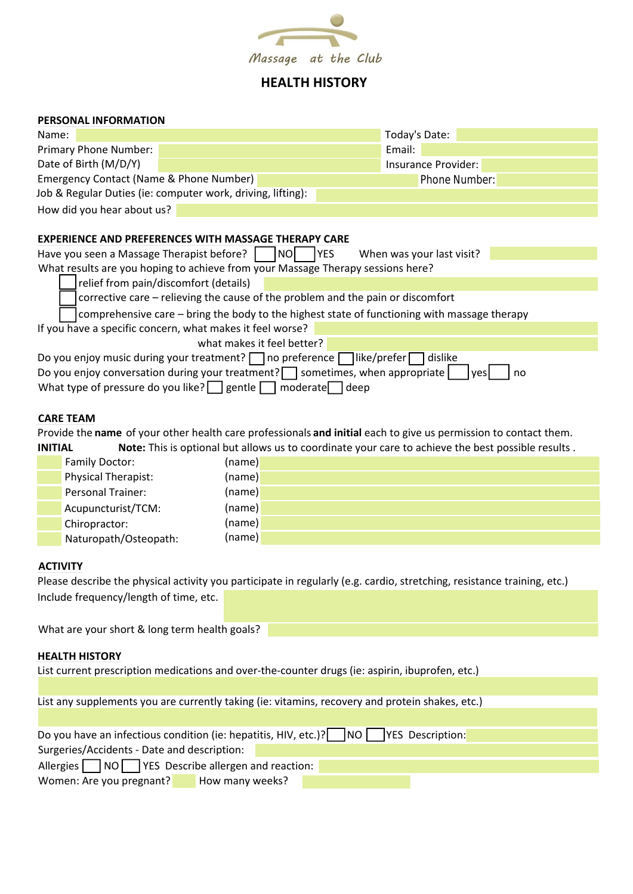

## **HEALTH HISTORY**

#### **PERSONAL INFORMATION**

| Name:                                                                                            |  |  |  | Today's Date:       |  |  |
|--------------------------------------------------------------------------------------------------|--|--|--|---------------------|--|--|
| Primary Phone Number:                                                                            |  |  |  | Email:              |  |  |
| Date of Birth (M/D/Y)                                                                            |  |  |  | Insurance Provider: |  |  |
| Emergency Contact (Name & Phone Number)                                                          |  |  |  | Phone Number:       |  |  |
| Job & Regular Duties (ie: computer work, driving, lifting):                                      |  |  |  |                     |  |  |
| How did you hear about us?                                                                       |  |  |  |                     |  |  |
|                                                                                                  |  |  |  |                     |  |  |
| <b>EXPERIENCE AND PREFERENCES WITH MASSAGE THERAPY CARE</b>                                      |  |  |  |                     |  |  |
| Have you seen a Massage Therapist before?<br>When was your last visit?<br><b>YES</b><br>INOI     |  |  |  |                     |  |  |
| What results are you hoping to achieve from your Massage Therapy sessions here?                  |  |  |  |                     |  |  |
| relief from pain/discomfort (details)                                                            |  |  |  |                     |  |  |
| corrective care – relieving the cause of the problem and the pain or discomfort                  |  |  |  |                     |  |  |
| comprehensive care – bring the body to the highest state of functioning with massage therapy     |  |  |  |                     |  |  |
| If you have a specific concern, what makes it feel worse?                                        |  |  |  |                     |  |  |
| what makes it feel better?                                                                       |  |  |  |                     |  |  |
| Do you enjoy music during your treatment? $\Box$ no preference $\Box$ like/prefer<br>dislike     |  |  |  |                     |  |  |
| Do you enjoy conversation during your treatment? $\Box$ sometimes, when appropriate<br>no<br>yes |  |  |  |                     |  |  |

What type of pressure do you like? gentle  $\Box$  moderate deep

#### **CARE TEAM**

Provide the **name** of your other health care professionals **and initial** each to give us permission to contact them. **INITIAL Note:** This is optional but allows us to coordinate your care to achieve the best possible results .

| Family Doctor:             | (name) |
|----------------------------|--------|
| <b>Physical Therapist:</b> | (name) |
| Personal Trainer:          | (name) |
| Acupuncturist/TCM:         | (name) |
| Chiropractor:              | (name) |
| Naturopath/Osteopath:      | (name) |

## **ACTIVITY**

Please describe the physical activity you participate in regularly (e.g. cardio, stretching, resistance training, etc.) Include frequency/length of time, etc.

What are your short & long term health goals?

### **HEALTH HISTORY**

List current prescription medications and over-the-counter drugs (ie: aspirin, ibuprofen, etc.)

List any supplements you are currently taking (ie: vitamins, recovery and protein shakes, etc.)

| Do you have an infectious condition (ie: hepatitis, HIV, etc.)? NO VES Description: |  |  |
|-------------------------------------------------------------------------------------|--|--|
|-------------------------------------------------------------------------------------|--|--|

Surgeries/Accidents - Date and description:

Allergies  $\Box$  NO YES Describe allergen and reaction:

Women: Are you pregnant? How many weeks?